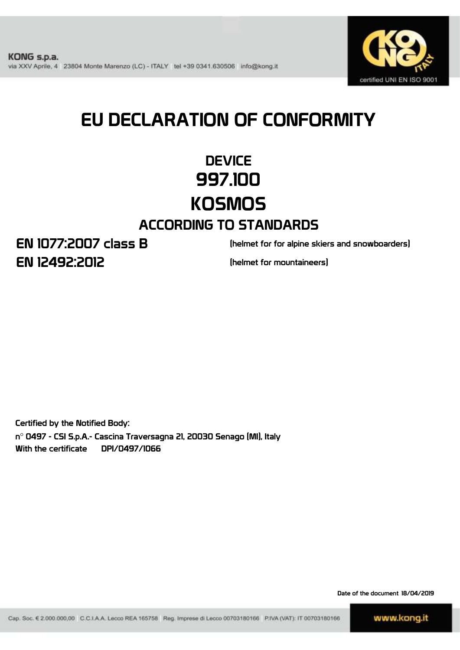

# EU DECLARATION OF CONFORMITY

## **DEVICE** 997.100 **KOSMOS**

### ACCORDING TO STANDARDS

EN 12492:2012 EN 1077:2007 class B

(helmet for for alpine skiers and snowboarders)

(helmet for mountaineers)

Certified by the Notified Body:

n° 0497 - CSI S.p.A.- Cascina Traversagna 21, 20030 Senago (MI), Italy With the certificate DPI/0497/1066

Date of the document 18/04/2019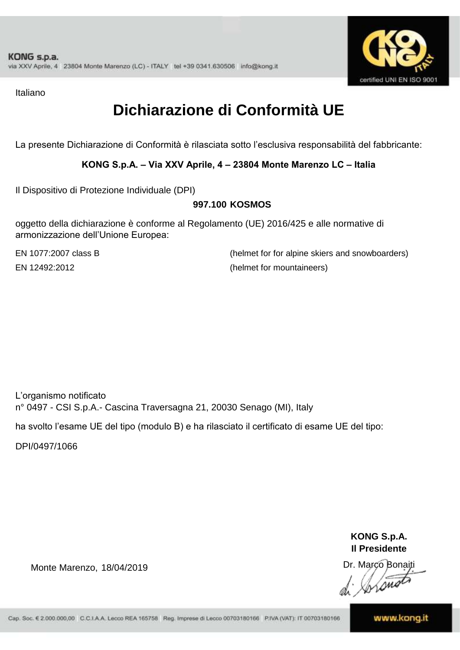

Italiano

### **Dichiarazione di Conformità UE**

La presente Dichiarazione di Conformità è rilasciata sotto l'esclusiva responsabilità del fabbricante:

**KONG S.p.A. – Via XXV Aprile, 4 – 23804 Monte Marenzo LC – Italia**

Il Dispositivo di Protezione Individuale (DPI)

#### **997.100 KOSMOS**

oggetto della dichiarazione è conforme al Regolamento (UE) 2016/425 e alle normative di armonizzazione dell'Unione Europea:

EN 1077:2007 class B

(helmet for for alpine skiers and snowboarders) EN 12492:2012 (helmet for mountaineers)

L'organismo notificato n° 0497 - CSI S.p.A.- Cascina Traversagna 21, 20030 Senago (MI), Italy

ha svolto l'esame UE del tipo (modulo B) e ha rilasciato il certificato di esame UE del tipo:

DPI/0497/1066

Monte Marenzo, 18/04/2019 **18/04/2019** https://www.marcon.marco.net/www.marcon.marco.net/www.marcon.marco.net/

**KONG S.p.A. Il Presidente**

Wrong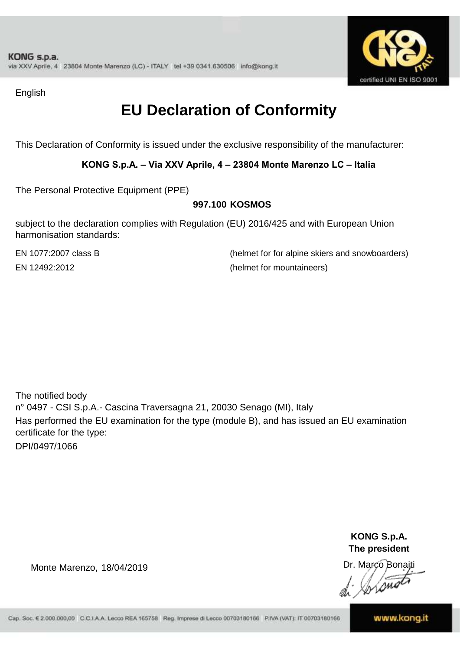

English

### **EU Declaration of Conformity**

This Declaration of Conformity is issued under the exclusive responsibility of the manufacturer:

**KONG S.p.A. – Via XXV Aprile, 4 – 23804 Monte Marenzo LC – Italia**

The Personal Protective Equipment (PPE)

#### **997.100 KOSMOS**

subject to the declaration complies with Regulation (EU) 2016/425 and with European Union harmonisation standards:

EN 1077:2007 class B (helmet for for alpine skiers and snowboarders) EN 12492:2012 (helmet for mountaineers)

The notified body n° 0497 - CSI S.p.A.- Cascina Traversagna 21, 20030 Senago (MI), Italy Has performed the EU examination for the type (module B), and has issued an EU examination certificate for the type: DPI/0497/1066

> **KONG S.p.A. The president**

Dr. Marco BonaitiLong

Monte Marenzo, 18/04/2019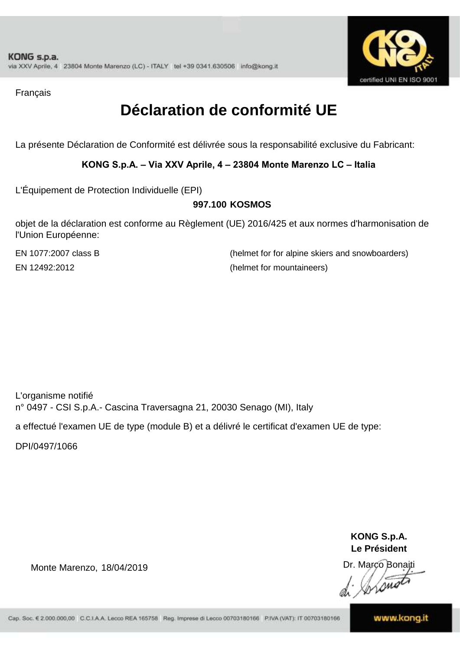

Français

### **Déclaration de conformité UE**

La présente Déclaration de Conformité est délivrée sous la responsabilité exclusive du Fabricant:

**KONG S.p.A. – Via XXV Aprile, 4 – 23804 Monte Marenzo LC – Italia**

L'Équipement de Protection Individuelle (EPI)

#### **997.100 KOSMOS**

objet de la déclaration est conforme au Règlement (UE) 2016/425 et aux normes d'harmonisation de l'Union Européenne:

EN 1077:2007 class B (helmet for for alpine skiers and snowboarders) EN 12492:2012 (helmet for mountaineers)

L'organisme notifié n° 0497 - CSI S.p.A.- Cascina Traversagna 21, 20030 Senago (MI), Italy

a effectué l'examen UE de type (module B) et a délivré le certificat d'examen UE de type:

DPI/0497/1066

Monte Marenzo, 18/04/2019

**KONG S.p.A. Le Président**

Dr. Marco Bonaiti Lone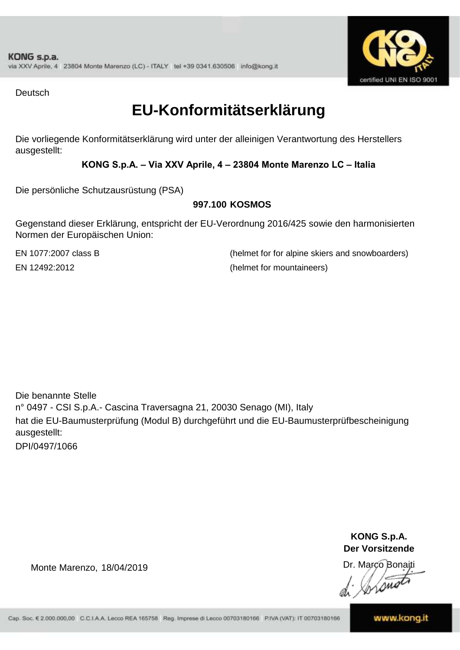

**Deutsch** 

### **EU-Konformitätserklärung**

Die vorliegende Konformitätserklärung wird unter der alleinigen Verantwortung des Herstellers ausgestellt:

**KONG S.p.A. – Via XXV Aprile, 4 – 23804 Monte Marenzo LC – Italia**

Die persönliche Schutzausrüstung (PSA)

#### **997.100 KOSMOS**

Gegenstand dieser Erklärung, entspricht der EU-Verordnung 2016/425 sowie den harmonisierten Normen der Europäischen Union:

EN 1077:2007 class B (helmet for for alpine skiers and snowboarders) EN 12492:2012 (helmet for mountaineers)

Die benannte Stelle n° 0497 - CSI S.p.A.- Cascina Traversagna 21, 20030 Senago (MI), Italy hat die EU-Baumusterprüfung (Modul B) durchgeführt und die EU-Baumusterprüfbescheinigung ausgestellt: DPI/0497/1066

> **KONG S.p.A. Der Vorsitzende**

Dr. Marco Bonaiti

 $\sqrt{\mathfrak{m}}$ 

Monte Marenzo, 18/04/2019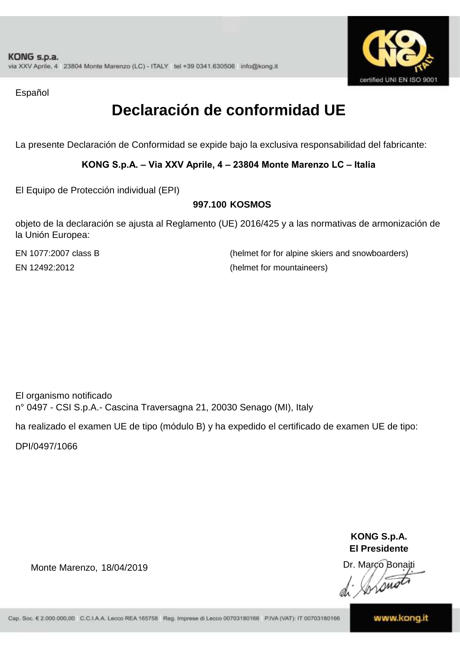

Español

### **Declaración de conformidad UE**

La presente Declaración de Conformidad se expide bajo la exclusiva responsabilidad del fabricante:

**KONG S.p.A. – Via XXV Aprile, 4 – 23804 Monte Marenzo LC – Italia**

El Equipo de Protección individual (EPI)

#### **997.100 KOSMOS**

objeto de la declaración se ajusta al Reglamento (UE) 2016/425 y a las normativas de armonización de la Unión Europea:

EN 1077:2007 class B

(helmet for for alpine skiers and snowboarders) EN 12492:2012 (helmet for mountaineers)

El organismo notificado n° 0497 - CSI S.p.A.- Cascina Traversagna 21, 20030 Senago (MI), Italy

ha realizado el examen UE de tipo (módulo B) y ha expedido el certificado de examen UE de tipo:

DPI/0497/1066

**KONG S.p.A. El Presidente**

Dr. Marco Bonaiti *Lone* 

Monte Marenzo, 18/04/2019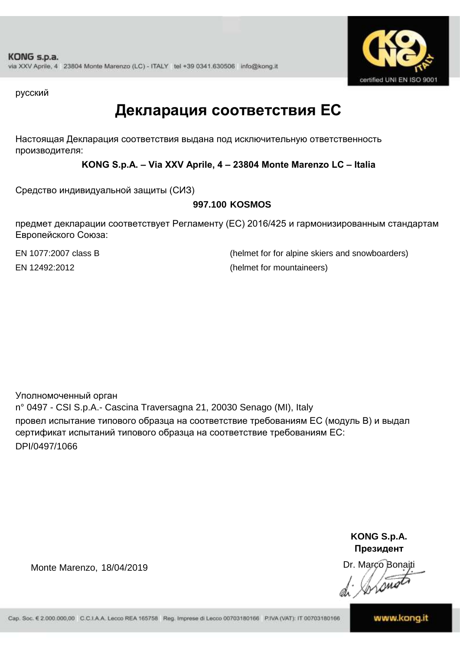

русский

### **Декларация соответствия ЕС**

Настоящая Декларация соответствия выдана под исключительную ответственность производителя:

**KONG S.p.A. – Via XXV Aprile, 4 – 23804 Monte Marenzo LC – Italia**

Средство индивидуальной защиты (СИЗ)

#### **997.100 KOSMOS**

предмет декларации соответствует Регламенту (ЕС) 2016/425 и гармонизированным стандартам Европейского Союза:

EN 1077:2007 class B (helmet for for alpine skiers and snowboarders) EN 12492:2012 (helmet for mountaineers)

Уполномоченный орган n° 0497 - CSI S.p.A.- Cascina Traversagna 21, 20030 Senago (MI), Italy провел испытание типового образца на соответствие требованиям ЕС (модуль B) и выдал сертификат испытаний типового образца на соответствие требованиям ЕС: DPI/0497/1066

> **KONG S.p.A. Президент**

Dr. Marco Bonaiti  $\frac{1}{\lambda}$  whome

Monte Marenzo, 18/04/2019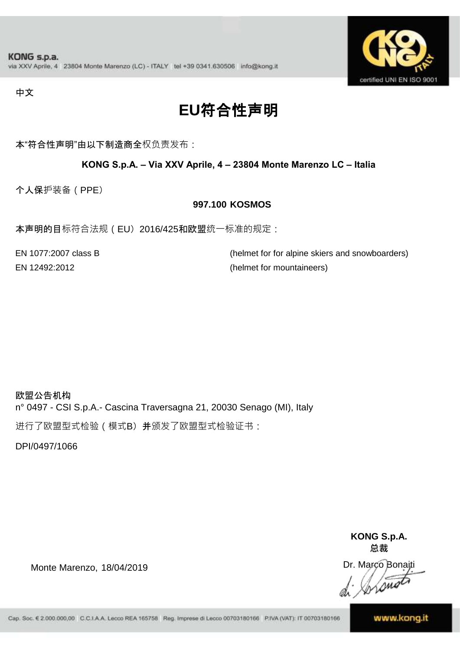

中文

## **EU**符合性声明

本"符合性声明"由以下制造商全权负责发布:

**KONG S.p.A. – Via XXV Aprile, 4 – 23804 Monte Marenzo LC – Italia**

个人保护装备(PPE)

#### **997.100 KOSMOS**

本声明的目标符合法规(EU) 2016/425和欧盟统一标准的规定:

EN 1077:2007 class B (helmet for for alpine skiers and snowboarders) EN 12492:2012 (helmet for mountaineers)

欧盟公告机构 n° 0497 - CSI S.p.A.- Cascina Traversagna 21, 20030 Senago (MI), Italy

进行了欧盟型式检验(模式B)并颁发了欧盟型式检验证书:

DPI/0497/1066

**KONG S.p.A. 总裁**

Dr. Marco Bonaiti di Sistema

Monte Marenzo, 18/04/2019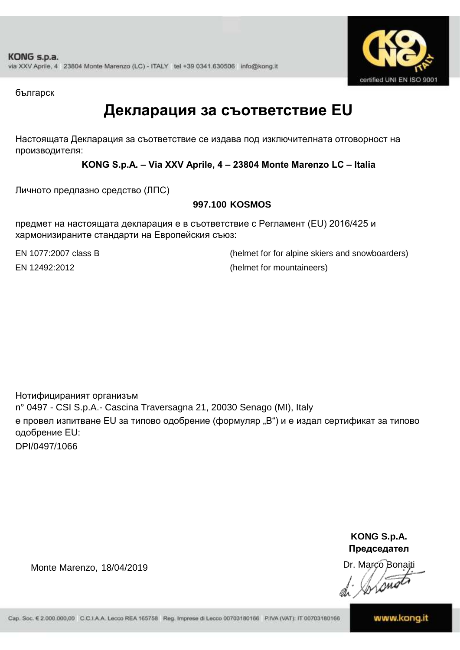

българск

### **Декларация за съответствие EU**

Настоящата Декларация за съответствие се издава под изключителната отговорност на производителя:

**KONG S.p.A. – Via XXV Aprile, 4 – 23804 Monte Marenzo LC – Italia**

Личното предпазно средство (ЛПС)

#### **997.100 KOSMOS**

предмет на настоящата декларация е в съответствие с Регламент (ЕU) 2016/425 и хармонизираните стандарти на Европейския съюз:

EN 1077:2007 class B (helmet for for alpine skiers and snowboarders) EN 12492:2012 (helmet for mountaineers)

Нотифицираният организъм n° 0497 - CSI S.p.A.- Cascina Traversagna 21, 20030 Senago (MI), Italy е провел изпитване EU за типово одобрение (формуляр "B") и е издал сертификат за типово одобрение ЕU: DPI/0497/1066

> **KONG S.p.A. Председател**

Dr. Marco Bonaiti Instruct

Monte Marenzo, 18/04/2019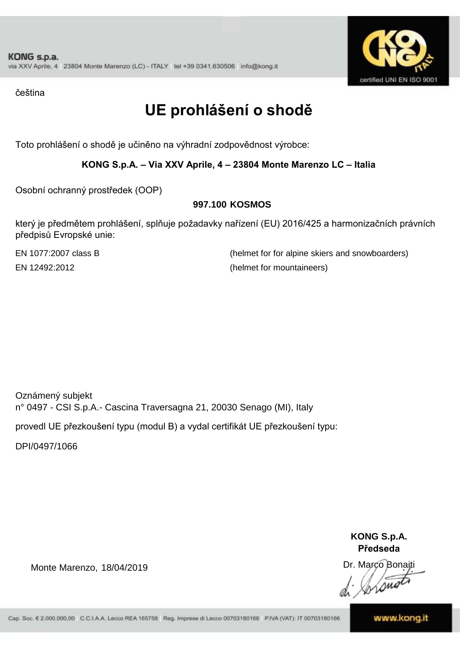

čeština

## **UE prohlášení o shodě**

Toto prohlášení o shodě je učiněno na výhradní zodpovědnost výrobce:

**KONG S.p.A. – Via XXV Aprile, 4 – 23804 Monte Marenzo LC – Italia**

Osobní ochranný prostředek (OOP)

#### **997.100 KOSMOS**

který je předmětem prohlášení, splňuje požadavky nařízení (EU) 2016/425 a harmonizačních právních předpisů Evropské unie:

EN 1077:2007 class B (helmet for for alpine skiers and snowboarders) EN 12492:2012 (helmet for mountaineers)

Oznámený subjekt n° 0497 - CSI S.p.A.- Cascina Traversagna 21, 20030 Senago (MI), Italy

provedl UE přezkoušení typu (modul B) a vydal certifikát UE přezkoušení typu:

DPI/0497/1066

Monte Marenzo, 18/04/2019

**KONG S.p.A. Předseda**

Dr. Marco Bonaiti Long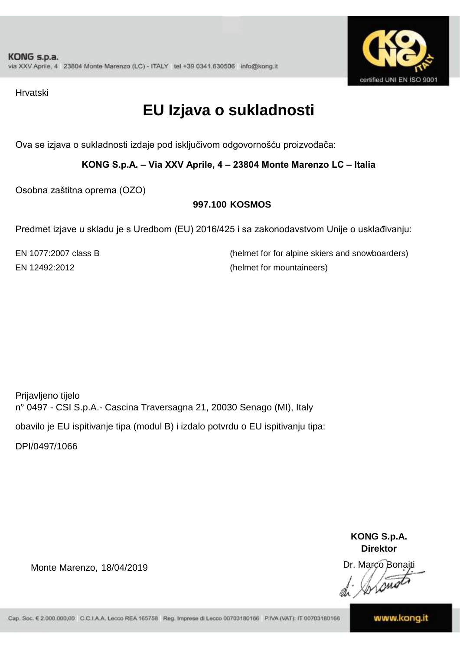

Hrvatski

### **EU Izjava o sukladnosti**

Ova se izjava o sukladnosti izdaje pod isključivom odgovornošću proizvođača:

**KONG S.p.A. – Via XXV Aprile, 4 – 23804 Monte Marenzo LC – Italia**

Osobna zaštitna oprema (OZO)

#### **997.100 KOSMOS**

Predmet izjave u skladu je s Uredbom (EU) 2016/425 i sa zakonodavstvom Unije o usklađivanju:

EN 1077:2007 class B (helmet for for alpine skiers and snowboarders) EN 12492:2012 (helmet for mountaineers)

Prijavljeno tijelo n° 0497 - CSI S.p.A.- Cascina Traversagna 21, 20030 Senago (MI), Italy obavilo je EU ispitivanje tipa (modul B) i izdalo potvrdu o EU ispitivanju tipa:

DPI/0497/1066

Monte Marenzo, 18/04/2019

**KONG S.p.A. Direktor**

Dr. Marco Bonaiti Long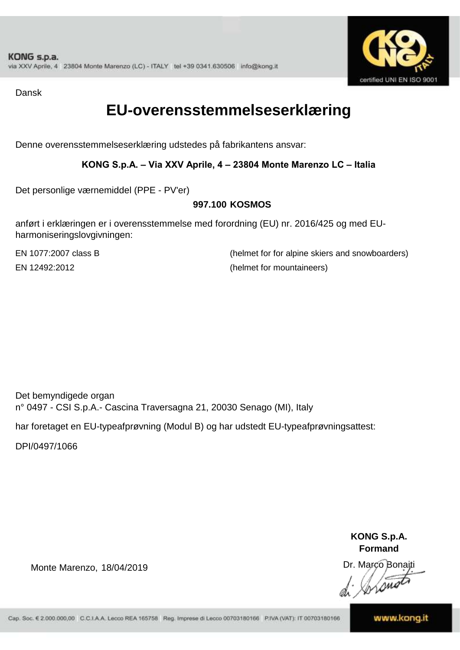

Dansk

### **EU-overensstemmelseserklæring**

Denne overensstemmelseserklæring udstedes på fabrikantens ansvar:

**KONG S.p.A. – Via XXV Aprile, 4 – 23804 Monte Marenzo LC – Italia**

Det personlige værnemiddel (PPE - PV'er)

#### **997.100 KOSMOS**

anført i erklæringen er i overensstemmelse med forordning (EU) nr. 2016/425 og med EUharmoniseringslovgivningen:

EN 1077:2007 class B (helmet for for alpine skiers and snowboarders) EN 12492:2012 (helmet for mountaineers)

Det bemyndigede organ n° 0497 - CSI S.p.A.- Cascina Traversagna 21, 20030 Senago (MI), Italy

har foretaget en EU-typeafprøvning (Modul B) og har udstedt EU-typeafprøvningsattest:

DPI/0497/1066

Monte Marenzo, 18/04/2019

**KONG S.p.A. Formand**

Dr. Marco Bonaiti *Ime*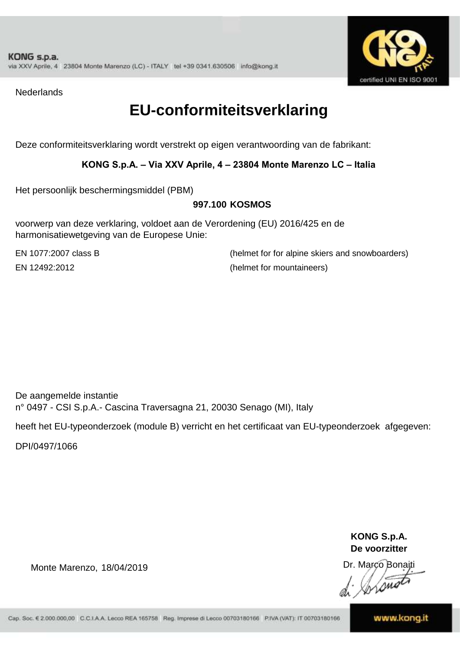

**Nederlands** 

### **EU-conformiteitsverklaring**

Deze conformiteitsverklaring wordt verstrekt op eigen verantwoording van de fabrikant:

#### **KONG S.p.A. – Via XXV Aprile, 4 – 23804 Monte Marenzo LC – Italia**

Het persoonlijk beschermingsmiddel (PBM)

#### **997.100 KOSMOS**

voorwerp van deze verklaring, voldoet aan de Verordening (EU) 2016/425 en de harmonisatiewetgeving van de Europese Unie:

EN 1077:2007 class B (helmet for for alpine skiers and snowboarders) EN 12492:2012 (helmet for mountaineers)

De aangemelde instantie n° 0497 - CSI S.p.A.- Cascina Traversagna 21, 20030 Senago (MI), Italy

heeft het EU-typeonderzoek (module B) verricht en het certificaat van EU-typeonderzoek afgegeven:

DPI/0497/1066

**KONG S.p.A. De voorzitter**

Dr. Marco Bonaiti Lome

Monte Marenzo, 18/04/2019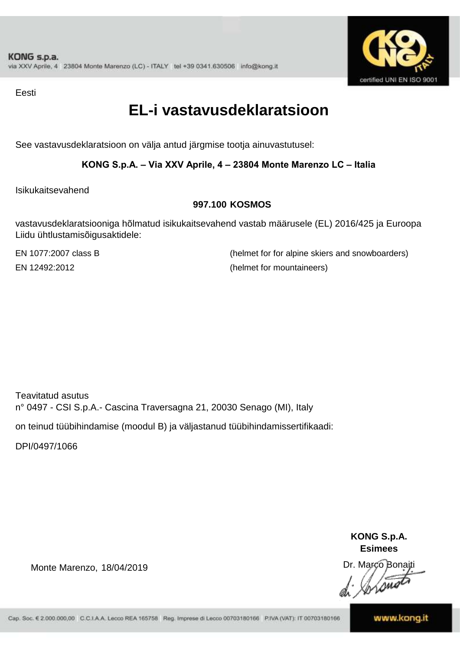

Eesti

### **EL-i vastavusdeklaratsioon**

See vastavusdeklaratsioon on välja antud järgmise tootja ainuvastutusel:

**KONG S.p.A. – Via XXV Aprile, 4 – 23804 Monte Marenzo LC – Italia**

Isikukaitsevahend

#### **997.100 KOSMOS**

vastavusdeklaratsiooniga hõlmatud isikukaitsevahend vastab määrusele (EL) 2016/425 ja Euroopa Liidu ühtlustamisõigusaktidele:

EN 1077:2007 class B (helmet for for alpine skiers and snowboarders) EN 12492:2012 (helmet for mountaineers)

Teavitatud asutus n° 0497 - CSI S.p.A.- Cascina Traversagna 21, 20030 Senago (MI), Italy

on teinud tüübihindamise (moodul B) ja väljastanud tüübihindamissertifikaadi:

DPI/0497/1066

Monte Marenzo, 18/04/2019

**KONG S.p.A. Esimees**

Dr. Marco Bonaiti Lome

Cap. Soc. € 2.000.000,00 C.C.I.A.A. Lecco REA 165758 Reg. Imprese di Lecco 00703180166 P.IVA (VAT): IT 00703180166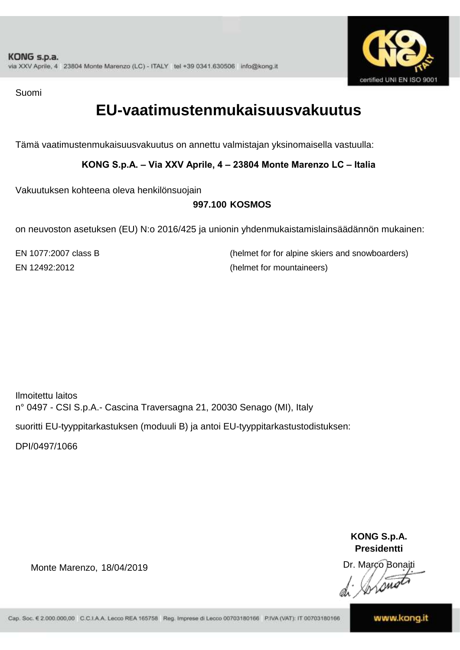

Suomi

### **EU-vaatimustenmukaisuusvakuutus**

Tämä vaatimustenmukaisuusvakuutus on annettu valmistajan yksinomaisella vastuulla:

**KONG S.p.A. – Via XXV Aprile, 4 – 23804 Monte Marenzo LC – Italia**

Vakuutuksen kohteena oleva henkilönsuojain

#### **997.100 KOSMOS**

on neuvoston asetuksen (EU) N:o 2016/425 ja unionin yhdenmukaistamislainsäädännön mukainen:

EN 1077:2007 class B (helmet for for alpine skiers and snowboarders) EN 12492:2012 (helmet for mountaineers)

Ilmoitettu laitos n° 0497 - CSI S.p.A.- Cascina Traversagna 21, 20030 Senago (MI), Italy suoritti EU-tyyppitarkastuksen (moduuli B) ja antoi EU-tyyppitarkastustodistuksen:

DPI/0497/1066

Monte Marenzo, 18/04/2019

**KONG S.p.A. Presidentti**

Dr. Marco Bonaiti Lone

Cap. Soc. € 2.000.000,00 C.C.I.A.A. Lecco REA 165758 Reg. Imprese di Lecco 00703180166 P.IVA (VAT): IT 00703180166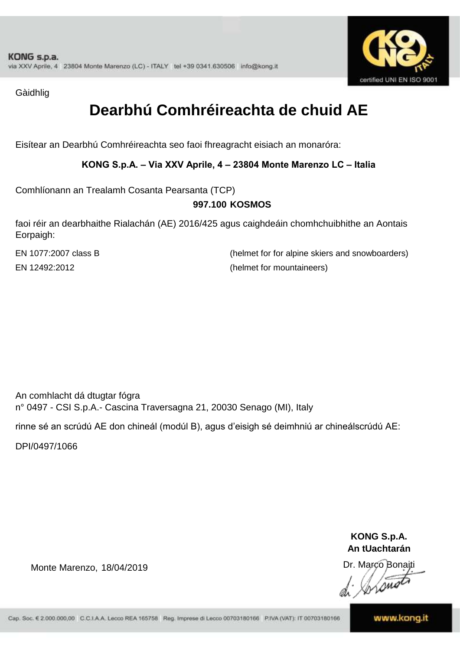

Gàidhlig

### **Dearbhú Comhréireachta de chuid AE**

Eisítear an Dearbhú Comhréireachta seo faoi fhreagracht eisiach an monaróra:

**KONG S.p.A. – Via XXV Aprile, 4 – 23804 Monte Marenzo LC – Italia**

Comhlíonann an Trealamh Cosanta Pearsanta (TCP)

#### **997.100 KOSMOS**

faoi réir an dearbhaithe Rialachán (AE) 2016/425 agus caighdeáin chomhchuibhithe an Aontais Eorpaigh:

EN 1077:2007 class B (helmet for for alpine skiers and snowboarders) EN 12492:2012 (helmet for mountaineers)

An comhlacht dá dtugtar fógra n° 0497 - CSI S.p.A.- Cascina Traversagna 21, 20030 Senago (MI), Italy

rinne sé an scrúdú AE don chineál (modúl B), agus d'eisigh sé deimhniú ar chineálscrúdú AE:

DPI/0497/1066

Monte Marenzo, 18/04/2019

**KONG S.p.A. An tUachtarán**

Dr. Marco Bonaiti Long

Cap. Soc. € 2.000.000,00 C.C.I.A.A. Lecco REA 165758 Reg. Imprese di Lecco 00703180166 P.IVA (VAT): IT 00703180166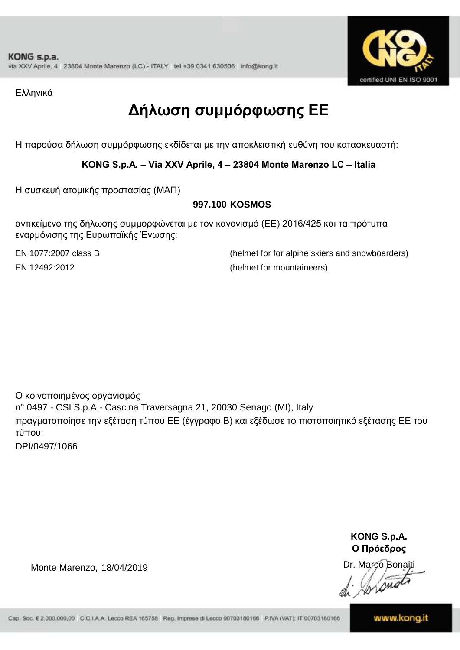

Ελληνικά

## **Δήλωση συμμόρφωσης ΕE**

Η παρούσα δήλωση συμμόρφωσης εκδίδεται με την αποκλειστική ευθύνη του κατασκευαστή:

**KONG S.p.A. – Via XXV Aprile, 4 – 23804 Monte Marenzo LC – Italia**

Η συσκευή ατομικής προστασίας (ΜΑΠ)

#### **997.100 KOSMOS**

αντικείμενο της δήλωσης συμμορφώνεται με τον κανονισμό (ΕΕ) 2016/425 και τα πρότυπα εναρμόνισης της Ευρωπαϊκής Ένωσης:

EN 1077:2007 class B (helmet for for alpine skiers and snowboarders) EN 12492:2012 (helmet for mountaineers)

Ο κοινοποιημένος οργανισμός n° 0497 - CSI S.p.A.- Cascina Traversagna 21, 20030 Senago (MI), Italy πραγματοποίησε την εξέταση τύπου ΕΕ (έγγραφο Β) και εξέδωσε το πιστοποιητικό εξέτασης ΕΕ του τύπου:

DPI/0497/1066

**KONG S.p.A. Ο Πρόεδρος**

Dr. Marco Bonaiti Lone

Monte Marenzo, 18/04/2019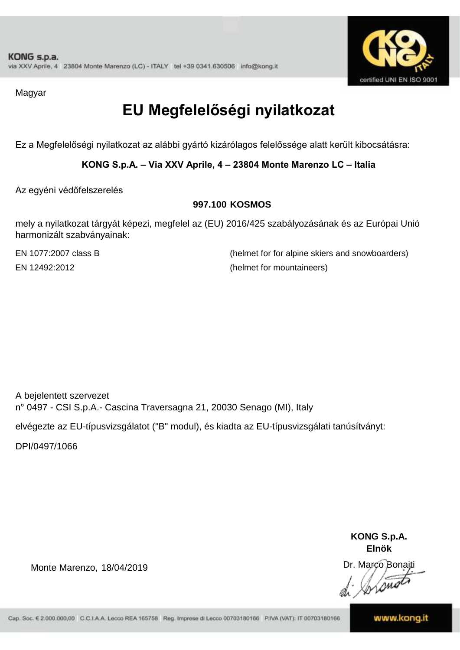

Magyar

## **EU Megfelelőségi nyilatkozat**

Ez a Megfelelőségi nyilatkozat az alábbi gyártó kizárólagos felelőssége alatt került kibocsátásra:

**KONG S.p.A. – Via XXV Aprile, 4 – 23804 Monte Marenzo LC – Italia**

Az egyéni védőfelszerelés

#### **997.100 KOSMOS**

mely a nyilatkozat tárgyát képezi, megfelel az (EU) 2016/425 szabályozásának és az Európai Unió harmonizált szabványainak:

EN 1077:2007 class B (helmet for for alpine skiers and snowboarders) EN 12492:2012 (helmet for mountaineers)

A bejelentett szervezet n° 0497 - CSI S.p.A.- Cascina Traversagna 21, 20030 Senago (MI), Italy

elvégezte az EU-típusvizsgálatot ("B" modul), és kiadta az EU-típusvizsgálati tanúsítványt:

DPI/0497/1066

**KONG S.p.A. Elnök**

Dr. Marco Bonaiti Lome

Monte Marenzo, 18/04/2019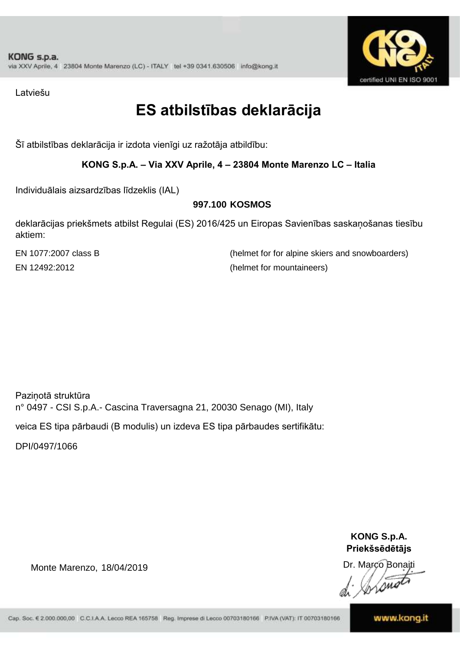

Latviešu

### **ES atbilstības deklarācija**

Šī atbilstības deklarācija ir izdota vienīgi uz ražotāja atbildību:

**KONG S.p.A. – Via XXV Aprile, 4 – 23804 Monte Marenzo LC – Italia**

Individuālais aizsardzības līdzeklis (IAL)

#### **997.100 KOSMOS**

deklarācijas priekšmets atbilst Regulai (ES) 2016/425 un Eiropas Savienības saskaņošanas tiesību aktiem:

EN 1077:2007 class B (helmet for for alpine skiers and snowboarders) EN 12492:2012 (helmet for mountaineers)

Paziņotā struktūra n° 0497 - CSI S.p.A.- Cascina Traversagna 21, 20030 Senago (MI), Italy

veica ES tipa pārbaudi (B modulis) un izdeva ES tipa pārbaudes sertifikātu:

DPI/0497/1066

Monte Marenzo, 18/04/2019

**KONG S.p.A. Priekšsēdētājs**

Dr. Marco Bonaiti Long

Cap. Soc. € 2.000.000,00 C.C.I.A.A. Lecco REA 165758 Reg. Imprese di Lecco 00703180166 P.IVA (VAT): IT 00703180166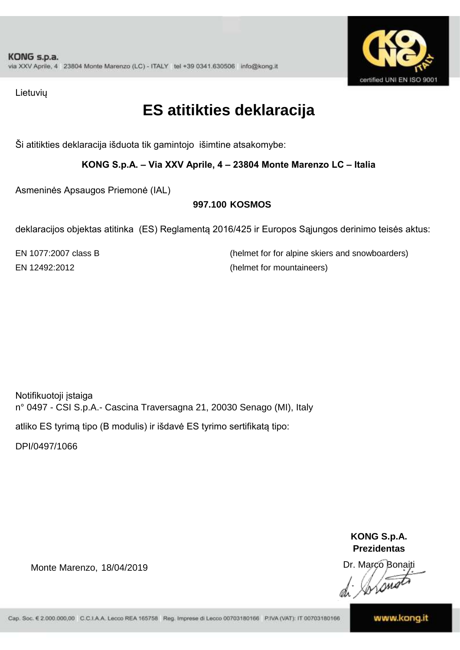

Lietuvių

### **ES atitikties deklaracija**

Ši atitikties deklaracija išduota tik gamintojo išimtine atsakomybe:

**KONG S.p.A. – Via XXV Aprile, 4 – 23804 Monte Marenzo LC – Italia**

Asmeninės Apsaugos Priemonė (IAL)

#### **997.100 KOSMOS**

deklaracijos objektas atitinka (ES) Reglamentą 2016/425 ir Europos Sąjungos derinimo teisės aktus:

EN 1077:2007 class B (helmet for for alpine skiers and snowboarders) EN 12492:2012 (helmet for mountaineers)

Notifikuotoji įstaiga n° 0497 - CSI S.p.A.- Cascina Traversagna 21, 20030 Senago (MI), Italy

atliko ES tyrimą tipo (B modulis) ir išdavė ES tyrimo sertifikatą tipo:

DPI/0497/1066

Monte Marenzo, 18/04/2019

**KONG S.p.A. Prezidentas**

Dr. Marco Bonaiti  $\bigtriangleup$ 

Cap. Soc. € 2.000.000,00 C.C.I.A.A. Lecco REA 165758 Reg. Imprese di Lecco 00703180166 P.IVA (VAT): IT 00703180166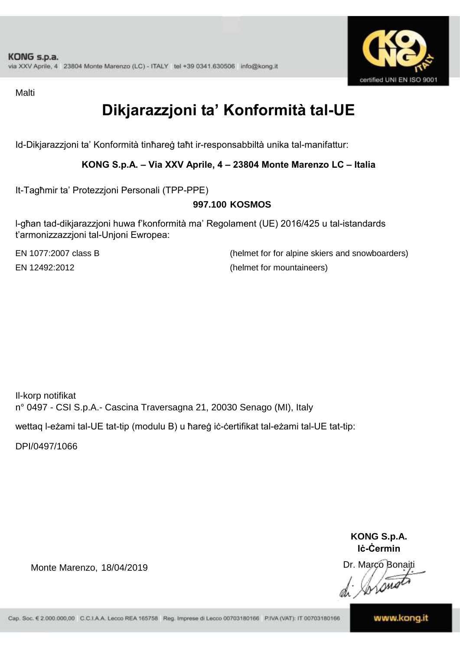

**Malti** 

## **Dikjarazzjoni ta' Konformità tal-UE**

Id-Dikjarazzjoni ta' Konformità tinħareġ taħt ir-responsabbiltà unika tal-manifattur:

**KONG S.p.A. – Via XXV Aprile, 4 – 23804 Monte Marenzo LC – Italia**

It-Tagħmir ta' Protezzjoni Personali (TPP-PPE)

#### **997.100 KOSMOS**

l-għan tad-dikjarazzjoni huwa f'konformità ma' Regolament (UE) 2016/425 u tal-istandards t'armonizzazzjoni tal-Unjoni Ewropea:

EN 1077:2007 class B (helmet for for alpine skiers and snowboarders) EN 12492:2012 (helmet for mountaineers)

Il-korp notifikat n° 0497 - CSI S.p.A.- Cascina Traversagna 21, 20030 Senago (MI), Italy

wettaq l-eżami tal-UE tat-tip (modulu B) u ħareġ iċ-ċertifikat tal-eżami tal-UE tat-tip:

DPI/0497/1066

Monte Marenzo, 18/04/2019

**KONG S.p.A. Iċ-Ċermin**

Dr. Marco Bonaiti

Cap. Soc. € 2.000.000,00 C.C.I.A.A. Lecco REA 165758 Reg. Imprese di Lecco 00703180166 P.IVA (VAT): IT 00703180166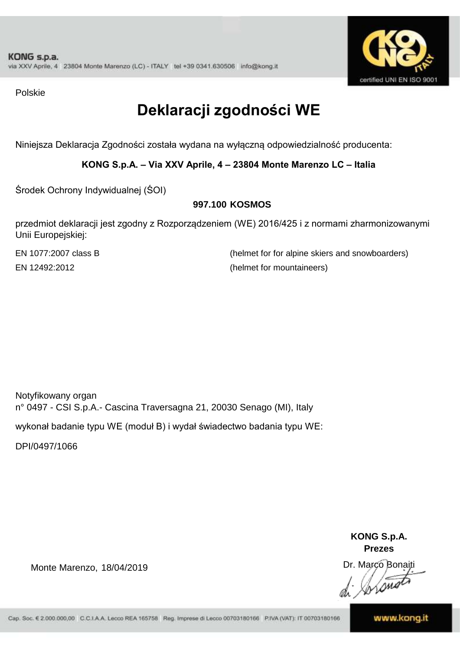

Polskie

## **Deklaracji zgodności WE**

Niniejsza Deklaracja Zgodności została wydana na wyłączną odpowiedzialność producenta:

**KONG S.p.A. – Via XXV Aprile, 4 – 23804 Monte Marenzo LC – Italia**

Środek Ochrony Indywidualnej (ŚOI)

#### **997.100 KOSMOS**

przedmiot deklaracji jest zgodny z Rozporządzeniem (WE) 2016/425 i z normami zharmonizowanymi Unii Europejskiej:

EN 1077:2007 class B (helmet for for alpine skiers and snowboarders) EN 12492:2012 (helmet for mountaineers)

Notyfikowany organ n° 0497 - CSI S.p.A.- Cascina Traversagna 21, 20030 Senago (MI), Italy

wykonał badanie typu WE (moduł B) i wydał świadectwo badania typu WE:

DPI/0497/1066

Monte Marenzo, 18/04/2019

**KONG S.p.A. Prezes** Dr. Marco Bonaiti

Cap. Soc. € 2.000.000,00 C.C.I.A.A. Lecco REA 165758 Reg. Imprese di Lecco 00703180166 P.IVA (VAT): IT 00703180166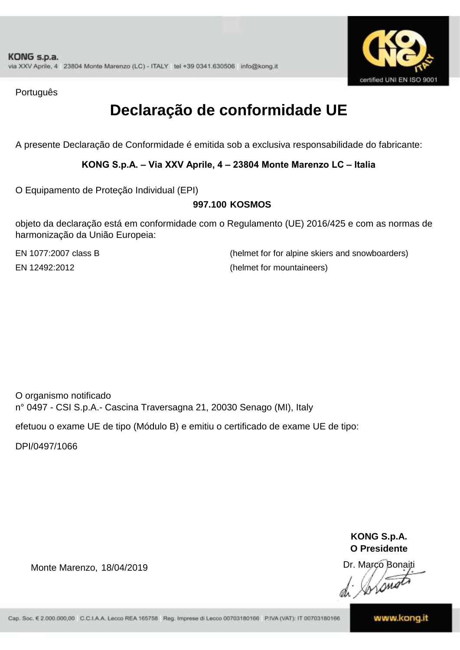

Português

### **Declaração de conformidade UE**

A presente Declaração de Conformidade é emitida sob a exclusiva responsabilidade do fabricante:

**KONG S.p.A. – Via XXV Aprile, 4 – 23804 Monte Marenzo LC – Italia**

O Equipamento de Proteção Individual (EPI)

#### **997.100 KOSMOS**

objeto da declaração está em conformidade com o Regulamento (UE) 2016/425 e com as normas de harmonização da União Europeia:

EN 1077:2007 class B (helmet for for alpine skiers and snowboarders) EN 12492:2012 (helmet for mountaineers)

O organismo notificado n° 0497 - CSI S.p.A.- Cascina Traversagna 21, 20030 Senago (MI), Italy

efetuou o exame UE de tipo (Módulo B) e emitiu o certificado de exame UE de tipo:

DPI/0497/1066

**KONG S.p.A. O Presidente**

Dr. Marco Bonaiti

Monte Marenzo, 18/04/2019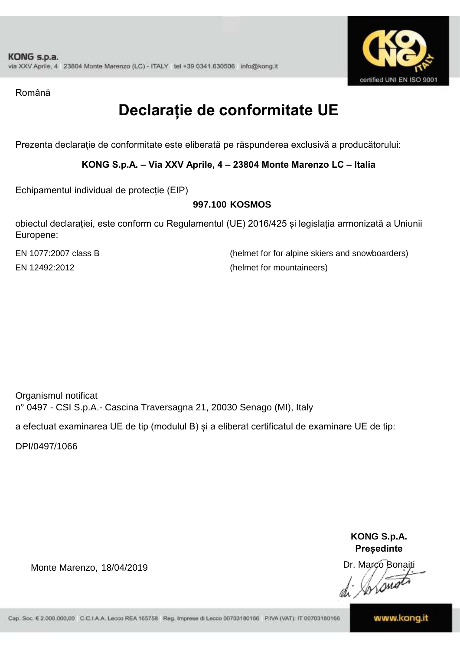

Română

### **Declarație de conformitate UE**

Prezenta declarație de conformitate este eliberată pe răspunderea exclusivă a producătorului:

**KONG S.p.A. – Via XXV Aprile, 4 – 23804 Monte Marenzo LC – Italia**

Echipamentul individual de protecție (EIP)

#### **997.100 KOSMOS**

obiectul declarației, este conform cu Regulamentul (UE) 2016/425 și legislația armonizată a Uniunii Europene:

EN 1077:2007 class B (helmet for for alpine skiers and snowboarders) EN 12492:2012 (helmet for mountaineers)

Organismul notificat n° 0497 - CSI S.p.A.- Cascina Traversagna 21, 20030 Senago (MI), Italy

a efectuat examinarea UE de tip (modulul B) și a eliberat certificatul de examinare UE de tip:

DPI/0497/1066

Monte Marenzo, 18/04/2019

**KONG S.p.A. Președinte**

Dr. Marco Bonaiti *Lond* 

Cap. Soc. € 2.000.000,00 C.C.I.A.A. Lecco REA 165758 Reg. Imprese di Lecco 00703180166 P.IVA (VAT): IT 00703180166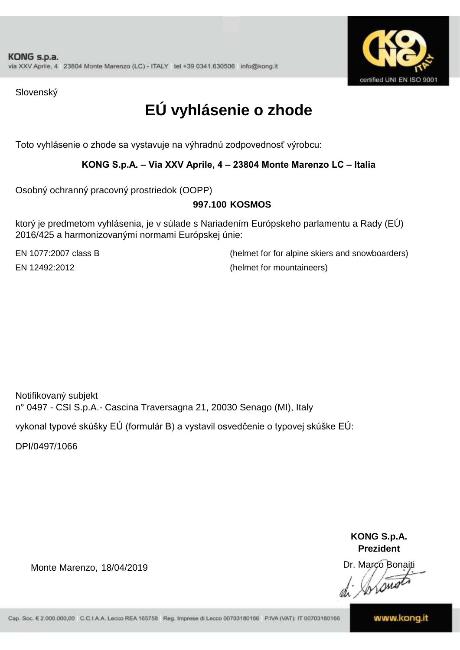

Slovenský

## **EÚ vyhlásenie o zhode**

Toto vyhlásenie o zhode sa vystavuje na výhradnú zodpovednosť výrobcu:

#### **KONG S.p.A. – Via XXV Aprile, 4 – 23804 Monte Marenzo LC – Italia**

Osobný ochranný pracovný prostriedok (OOPP)

#### **KOSMOS 997.100**

ktorý je predmetom vyhlásenia, je v súlade s Nariadením Európskeho parlamentu a Rady (EÚ) 2016/425 a harmonizovanými normami Európskej únie:

EN 1077:2007 class B (helmet for for alpine skiers and snowboarders) EN 12492:2012 (helmet for mountaineers)

Notifikovaný subjekt n° 0497 - CSI S.p.A.- Cascina Traversagna 21, 20030 Senago (MI), Italy

vykonal typové skúšky EÚ (formulár B) a vystavil osvedčenie o typovej skúške EÚ:

DPI/0497/1066

Monte Marenzo, 18/04/2019

**KONG S.p.A. Prezident**

Dr. Marco Bonaiti

Cap. Soc. € 2.000.000,00 C.C.I.A.A. Lecco REA 165758 Reg. Imprese di Lecco 00703180166 P.IVA (VAT): IT 00703180166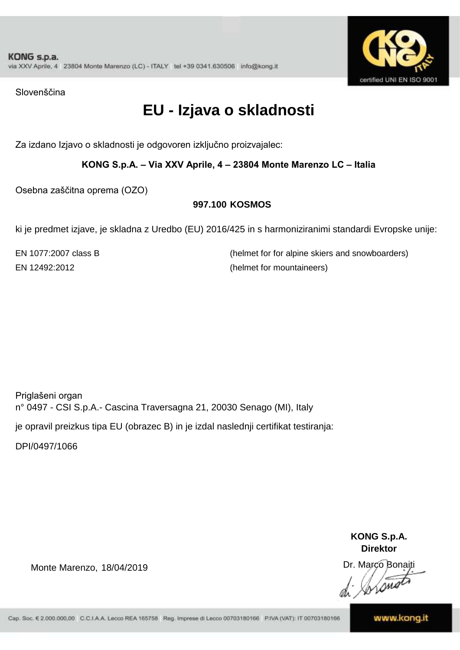

Slovenščina

### **EU - Izjava o skladnosti**

Za izdano Izjavo o skladnosti je odgovoren izključno proizvajalec:

**KONG S.p.A. – Via XXV Aprile, 4 – 23804 Monte Marenzo LC – Italia**

Osebna zaščitna oprema (OZO)

#### **997.100 KOSMOS**

ki je predmet izjave, je skladna z Uredbo (EU) 2016/425 in s harmoniziranimi standardi Evropske unije:

EN 1077:2007 class B (helmet for for alpine skiers and snowboarders) EN 12492:2012 (helmet for mountaineers)

Priglašeni organ n° 0497 - CSI S.p.A.- Cascina Traversagna 21, 20030 Senago (MI), Italy

je opravil preizkus tipa EU (obrazec B) in je izdal naslednji certifikat testiranja:

DPI/0497/1066

Monte Marenzo, 18/04/2019

**KONG S.p.A. Direktor**

Dr. Marco Bonaiti Lone

Cap. Soc. € 2.000.000,00 C.C.I.A.A. Lecco REA 165758 Reg. Imprese di Lecco 00703180166 P.IVA (VAT): IT 00703180166